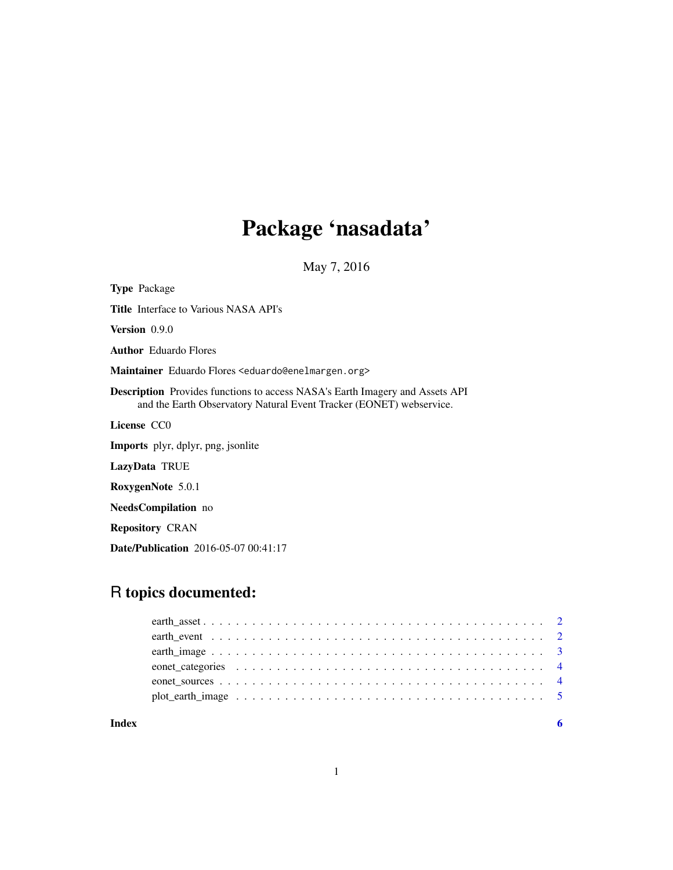## Package 'nasadata'

May 7, 2016

Type Package Title Interface to Various NASA API's Version 0.9.0 Author Eduardo Flores Maintainer Eduardo Flores <eduardo@enelmargen.org> Description Provides functions to access NASA's Earth Imagery and Assets API and the Earth Observatory Natural Event Tracker (EONET) webservice. License CC0 Imports plyr, dplyr, png, jsonlite LazyData TRUE RoxygenNote 5.0.1 NeedsCompilation no Repository CRAN Date/Publication 2016-05-07 00:41:17

## R topics documented:

| Index |  |
|-------|--|
|       |  |
|       |  |
|       |  |
|       |  |
|       |  |
|       |  |

1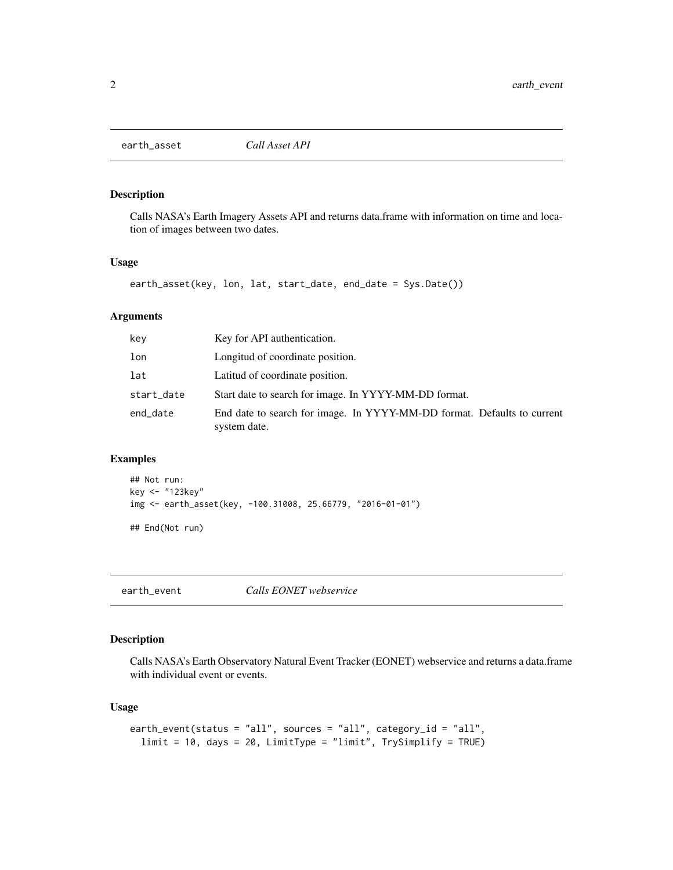<span id="page-1-0"></span>

#### Description

Calls NASA's Earth Imagery Assets API and returns data.frame with information on time and location of images between two dates.

#### Usage

```
earth_asset(key, lon, lat, start_date, end_date = Sys.Date())
```
## Arguments

| kev        | Key for API authentication.                                                             |
|------------|-----------------------------------------------------------------------------------------|
| lon        | Longitud of coordinate position.                                                        |
| lat        | Latitud of coordinate position.                                                         |
| start_date | Start date to search for image. In YYYY-MM-DD format.                                   |
| end_date   | End date to search for image. In YYYY-MM-DD format. Defaults to current<br>system date. |

## Examples

## Not run: key <- "123key" img <- earth\_asset(key, -100.31008, 25.66779, "2016-01-01")

## End(Not run)

earth\_event *Calls EONET webservice*

## Description

Calls NASA's Earth Observatory Natural Event Tracker (EONET) webservice and returns a data.frame with individual event or events.

#### Usage

```
earth_event(status = "all", sources = "all", category_id = "all",
  limit = 10, days = 20, LimitType = "limit", TrySimplify = TRUE)
```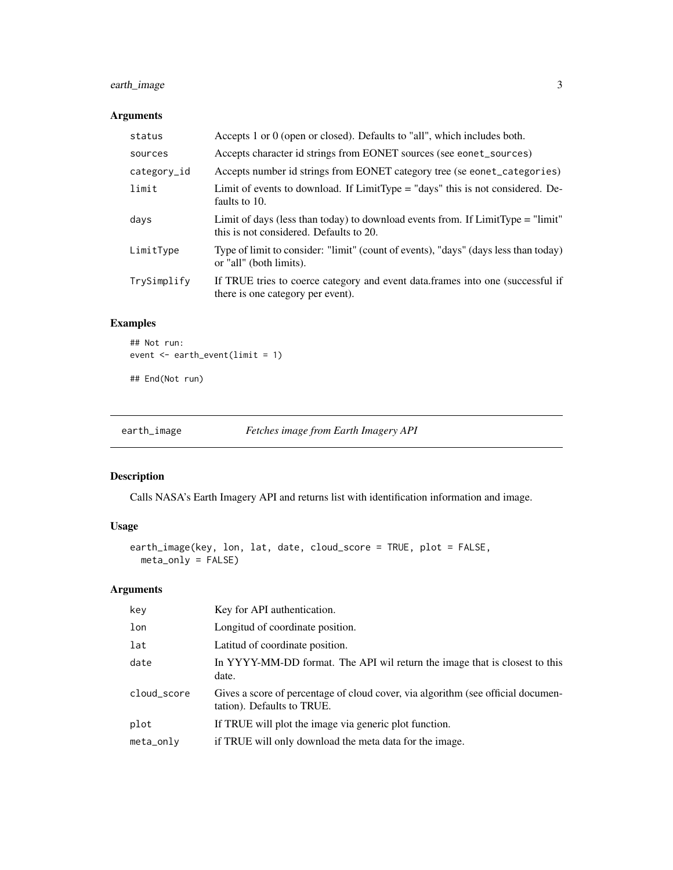## <span id="page-2-0"></span>earth\_image 3

## Arguments

| status        | Accepts 1 or 0 (open or closed). Defaults to "all", which includes both.                                                     |
|---------------|------------------------------------------------------------------------------------------------------------------------------|
| sources       | Accepts character id strings from EONET sources (see eonet_sources)                                                          |
| $category_id$ | Accepts number id strings from EONET category tree (se eonet_categories)                                                     |
| limit         | Limit of events to download. If LimitType = "days" this is not considered. De-<br>faults to 10.                              |
| days          | Limit of days (less than today) to download events from. If $LimitType = "limit"$<br>this is not considered. Defaults to 20. |
| LimitType     | Type of limit to consider: "limit" (count of events), "days" (days less than today)<br>or "all" (both limits).               |
| TrySimplify   | If TRUE tries to coerce category and event data.frames into one (successful if<br>there is one category per event).          |

## Examples

## Not run: event <- earth\_event(limit = 1)

## End(Not run)

earth\_image *Fetches image from Earth Imagery API*

## Description

Calls NASA's Earth Imagery API and returns list with identification information and image.

## Usage

```
earth_image(key, lon, lat, date, cloud_score = TRUE, plot = FALSE,
 meta_only = FALSE)
```
## Arguments

| key         | Key for API authentication.                                                                                    |
|-------------|----------------------------------------------------------------------------------------------------------------|
| lon         | Longitud of coordinate position.                                                                               |
| lat         | Latitud of coordinate position.                                                                                |
| date        | In YYYY-MM-DD format. The API wil return the image that is closest to this<br>date.                            |
| cloud_score | Gives a score of percentage of cloud cover, via algorithm (see official documen-<br>tation). Defaults to TRUE. |
| plot        | If TRUE will plot the image via generic plot function.                                                         |
| meta_only   | if TRUE will only download the meta data for the image.                                                        |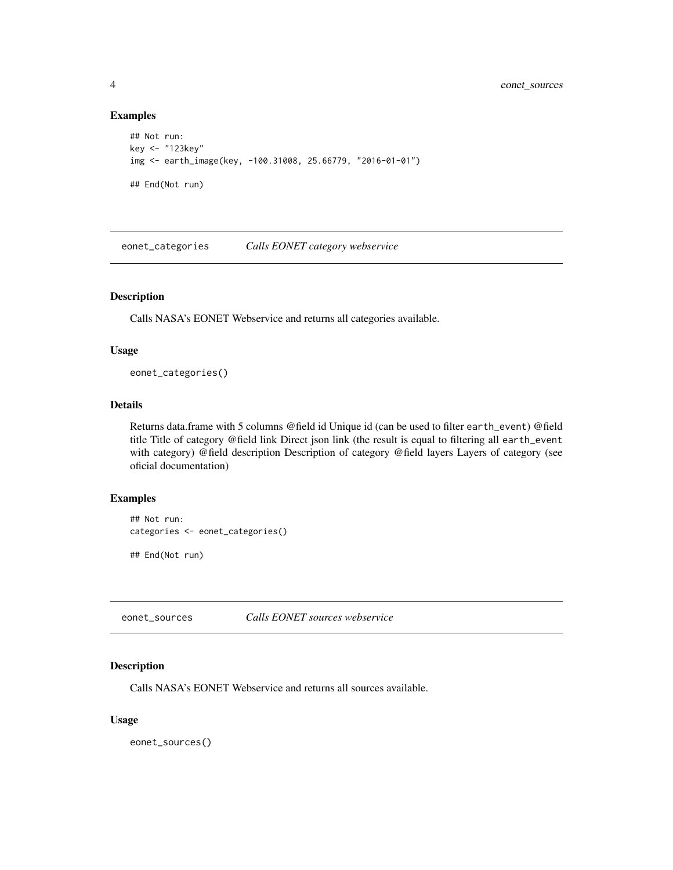#### Examples

```
## Not run:
key <- "123key"
img <- earth_image(key, -100.31008, 25.66779, "2016-01-01")
## End(Not run)
```
eonet\_categories *Calls EONET category webservice*

## Description

Calls NASA's EONET Webservice and returns all categories available.

#### Usage

eonet\_categories()

## Details

Returns data.frame with 5 columns @field id Unique id (can be used to filter earth\_event) @field title Title of category @field link Direct json link (the result is equal to filtering all earth\_event with category) @field description Description of category @field layers Layers of category (see oficial documentation)

## Examples

```
## Not run:
categories <- eonet_categories()
## End(Not run)
```
eonet\_sources *Calls EONET sources webservice*

#### Description

Calls NASA's EONET Webservice and returns all sources available.

#### Usage

eonet\_sources()

<span id="page-3-0"></span>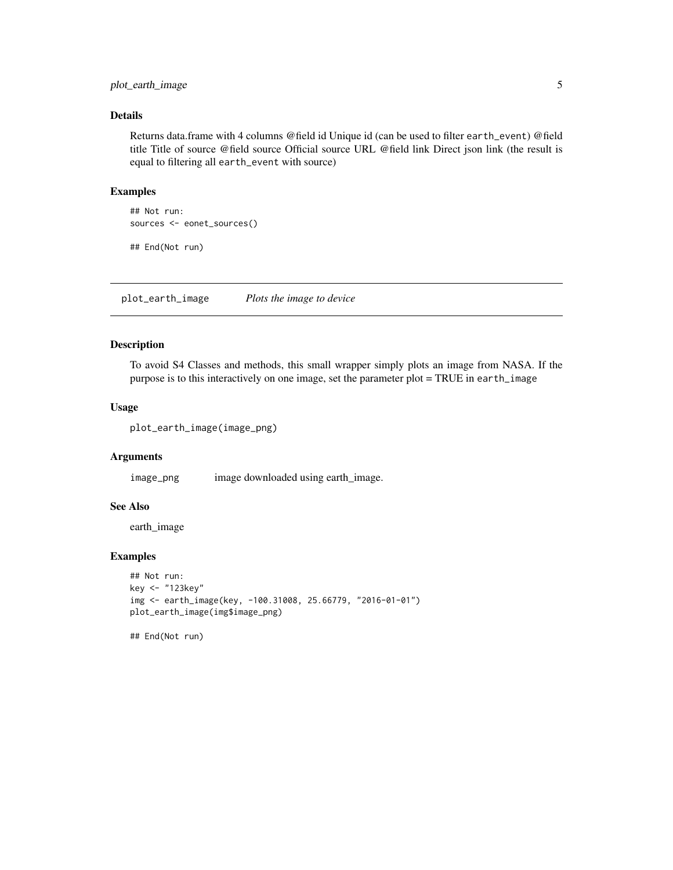## <span id="page-4-0"></span>plot\_earth\_image 5

#### Details

Returns data.frame with 4 columns @field id Unique id (can be used to filter earth\_event) @field title Title of source @field source Official source URL @field link Direct json link (the result is equal to filtering all earth\_event with source)

#### Examples

```
## Not run:
sources <- eonet_sources()
```
## End(Not run)

plot\_earth\_image *Plots the image to device*

## Description

To avoid S4 Classes and methods, this small wrapper simply plots an image from NASA. If the purpose is to this interactively on one image, set the parameter plot = TRUE in earth\_image

#### Usage

```
plot_earth_image(image_png)
```
#### Arguments

image\_png image downloaded using earth\_image.

## See Also

earth\_image

## Examples

```
## Not run:
key <- "123key"
img <- earth_image(key, -100.31008, 25.66779, "2016-01-01")
plot_earth_image(img$image_png)
```
## End(Not run)